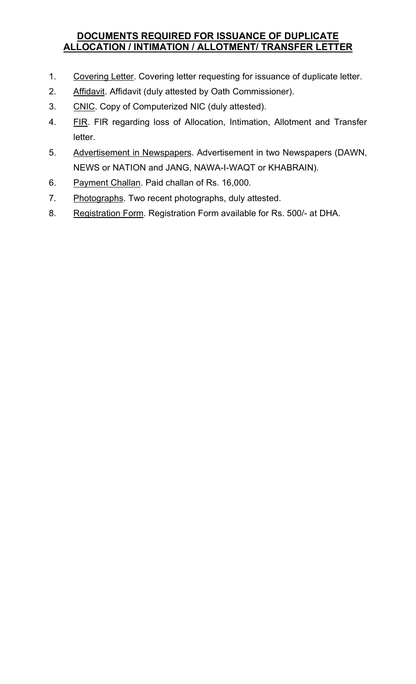### DOCUMENTS REQUIRED FOR ISSUANCE OF DUPLICATE ALLOCATION / INTIMATION / ALLOTMENT/ TRANSFER LETTER

- 1. Covering Letter. Covering letter requesting for issuance of duplicate letter.
- 2. Affidavit. Affidavit (duly attested by Oath Commissioner).
- 3. CNIC. Copy of Computerized NIC (duly attested).
- 4. **FIR. FIR regarding loss of Allocation, Intimation, Allotment and Transfer** letter.
- 5. Advertisement in Newspapers. Advertisement in two Newspapers (DAWN, NEWS or NATION and JANG, NAWA-I-WAQT or KHABRAIN).
- 6. Payment Challan. Paid challan of Rs. 16,000.
- 7. Photographs. Two recent photographs, duly attested.
- 8. Registration Form. Registration Form available for Rs. 500/- at DHA.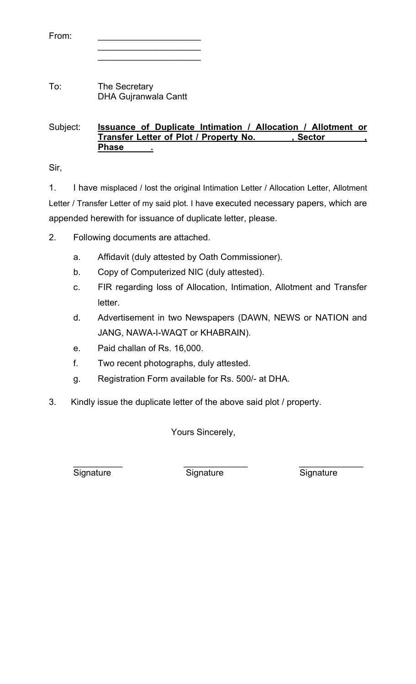| From: |  |  |  |  |  |  |  |  |  |
|-------|--|--|--|--|--|--|--|--|--|
|       |  |  |  |  |  |  |  |  |  |

 $\overline{\phantom{a}}$  ,  $\overline{\phantom{a}}$  ,  $\overline{\phantom{a}}$  ,  $\overline{\phantom{a}}$  ,  $\overline{\phantom{a}}$  ,  $\overline{\phantom{a}}$  ,  $\overline{\phantom{a}}$  ,  $\overline{\phantom{a}}$  ,  $\overline{\phantom{a}}$  ,  $\overline{\phantom{a}}$  ,  $\overline{\phantom{a}}$  ,  $\overline{\phantom{a}}$  ,  $\overline{\phantom{a}}$  ,  $\overline{\phantom{a}}$  ,  $\overline{\phantom{a}}$  ,  $\overline{\phantom{a}}$ 

To: The Secretary DHA Gujranwala Cantt

#### Subject: **Issuance of Duplicate Intimation / Allocation / Allotment or** Transfer Letter of Plot / Property No. 39 Sector **Phase**

Sir,

1. I have misplaced / lost the original Intimation Letter / Allocation Letter, Allotment Letter / Transfer Letter of my said plot. I have executed necessary papers, which are appended herewith for issuance of duplicate letter, please.

2. Following documents are attached.

- a. Affidavit (duly attested by Oath Commissioner).
- b. Copy of Computerized NIC (duly attested).
- c. FIR regarding loss of Allocation, Intimation, Allotment and Transfer letter.
- d. Advertisement in two Newspapers (DAWN, NEWS or NATION and JANG, NAWA-I-WAQT or KHABRAIN).
- e. Paid challan of Rs. 16,000.
- f. Two recent photographs, duly attested.
- g. Registration Form available for Rs. 500/- at DHA.
- 3. Kindly issue the duplicate letter of the above said plot / property.

Yours Sincerely,

 $\overline{\phantom{a}}$  ,  $\overline{\phantom{a}}$  ,  $\overline{\phantom{a}}$  ,  $\overline{\phantom{a}}$  ,  $\overline{\phantom{a}}$  ,  $\overline{\phantom{a}}$  ,  $\overline{\phantom{a}}$  ,  $\overline{\phantom{a}}$  ,  $\overline{\phantom{a}}$  ,  $\overline{\phantom{a}}$  ,  $\overline{\phantom{a}}$  ,  $\overline{\phantom{a}}$  ,  $\overline{\phantom{a}}$  ,  $\overline{\phantom{a}}$  ,  $\overline{\phantom{a}}$  ,  $\overline{\phantom{a}}$ Signature Signature Signature Signature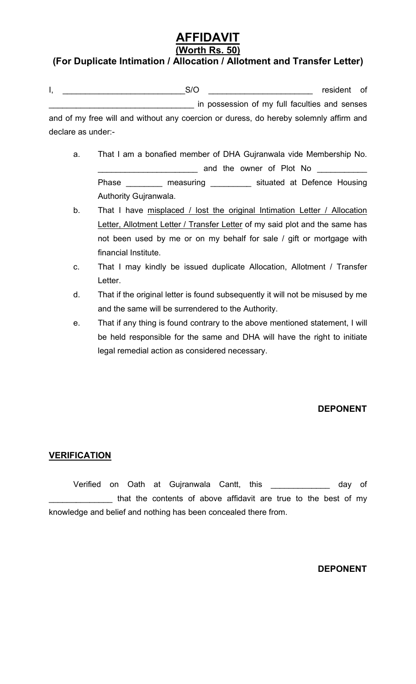# AFFIDAVIT

## (Worth Rs. 50)

### (For Duplicate Intimation / Allocation / Allotment and Transfer Letter)

| <br>$\sim$ | rocidont<br>$-$ |  |
|------------|-----------------|--|
|            |                 |  |

\_\_\_\_\_\_\_\_\_\_\_\_\_\_\_\_\_\_\_\_\_\_\_\_\_\_\_\_\_\_\_\_ in possession of my full faculties and senses and of my free will and without any coercion or duress, do hereby solemnly affirm and declare as under:-

- a. That I am a bonafied member of DHA Gujranwala vide Membership No. \_\_\_\_\_\_\_\_\_\_\_\_\_\_\_\_\_\_\_\_\_\_ and the owner of Plot No \_\_\_\_\_\_\_\_\_\_\_ Phase \_\_\_\_\_\_\_\_\_ measuring \_\_\_\_\_\_\_\_\_ situated at Defence Housing Authority Gujranwala.
- b. That I have misplaced / lost the original Intimation Letter / Allocation Letter, Allotment Letter / Transfer Letter of my said plot and the same has not been used by me or on my behalf for sale / gift or mortgage with financial Institute.
- c. That I may kindly be issued duplicate Allocation, Allotment / Transfer Letter.
- d. That if the original letter is found subsequently it will not be misused by me and the same will be surrendered to the Authority.
- e. That if any thing is found contrary to the above mentioned statement, I will be held responsible for the same and DHA will have the right to initiate legal remedial action as considered necessary.

#### DEPONENT

#### **VERIFICATION**

 Verified on Oath at Gujranwala Cantt, this \_\_\_\_\_\_\_\_\_\_\_\_\_ day of that the contents of above affidavit are true to the best of my knowledge and belief and nothing has been concealed there from.

#### DEPONENT